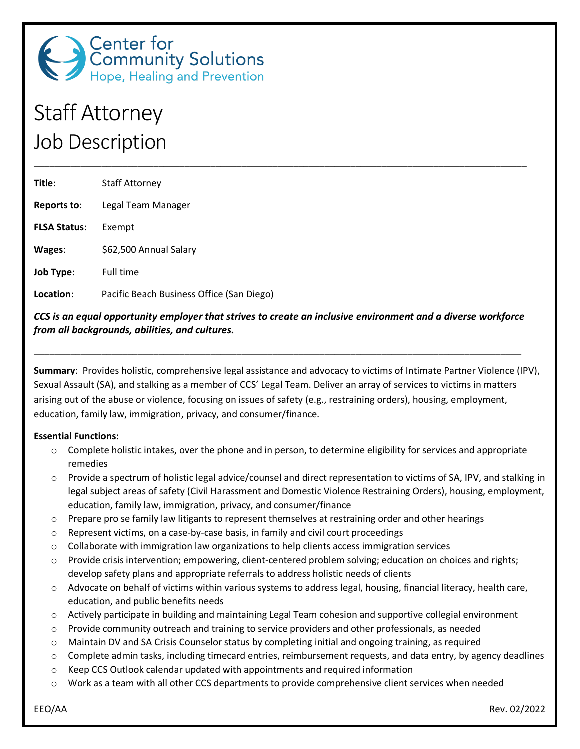

# Staff Attorney Job Description

| Title:              | <b>Staff Attorney</b>                     |
|---------------------|-------------------------------------------|
| Reports to:         | Legal Team Manager                        |
| <b>FLSA Status:</b> | Exempt                                    |
| Wages:              | \$62,500 Annual Salary                    |
| <b>Job Type:</b>    | <b>Full time</b>                          |
| Location:           | Pacific Beach Business Office (San Diego) |

*CCS is an equal opportunity employer that strives to create an inclusive environment and a diverse workforce from all backgrounds, abilities, and cultures.*

\_\_\_\_\_\_\_\_\_\_\_\_\_\_\_\_\_\_\_\_\_\_\_\_\_\_\_\_\_\_\_\_\_\_\_\_\_\_\_\_\_\_\_\_\_\_\_\_\_\_\_\_\_\_\_\_\_\_\_\_\_\_\_\_\_\_\_\_\_\_\_\_\_\_\_\_\_\_\_\_\_\_\_\_\_\_\_\_\_\_\_\_\_\_

\_\_\_\_\_\_\_\_\_\_\_\_\_\_\_\_\_\_\_\_\_\_\_\_\_\_\_\_\_\_\_\_\_\_\_\_\_\_\_\_\_\_\_\_\_\_\_\_\_\_\_\_\_\_\_\_\_\_\_\_\_\_\_\_\_\_\_\_\_\_\_\_\_\_\_\_\_\_\_\_\_\_\_\_\_\_\_\_\_\_\_\_\_\_\_

**Summary**: Provides holistic, comprehensive legal assistance and advocacy to victims of Intimate Partner Violence (IPV), Sexual Assault (SA), and stalking as a member of CCS' Legal Team. Deliver an array of services to victims in matters arising out of the abuse or violence, focusing on issues of safety (e.g., restraining orders), housing, employment, education, family law, immigration, privacy, and consumer/finance.

#### **Essential Functions:**

- $\circ$  Complete holistic intakes, over the phone and in person, to determine eligibility for services and appropriate remedies
- o Provide a spectrum of holistic legal advice/counsel and direct representation to victims of SA, IPV, and stalking in legal subject areas of safety (Civil Harassment and Domestic Violence Restraining Orders), housing, employment, education, family law, immigration, privacy, and consumer/finance
- $\circ$  Prepare pro se family law litigants to represent themselves at restraining order and other hearings
- o Represent victims, on a case-by-case basis, in family and civil court proceedings
- $\circ$  Collaborate with immigration law organizations to help clients access immigration services
- o Provide crisis intervention; empowering, client-centered problem solving; education on choices and rights; develop safety plans and appropriate referrals to address holistic needs of clients
- o Advocate on behalf of victims within various systems to address legal, housing, financial literacy, health care, education, and public benefits needs
- o Actively participate in building and maintaining Legal Team cohesion and supportive collegial environment
- o Provide community outreach and training to service providers and other professionals, as needed
- o Maintain DV and SA Crisis Counselor status by completing initial and ongoing training, as required
- $\circ$  Complete admin tasks, including timecard entries, reimbursement requests, and data entry, by agency deadlines
- $\circ$  Keep CCS Outlook calendar updated with appointments and required information
- Work as a team with all other CCS departments to provide comprehensive client services when needed